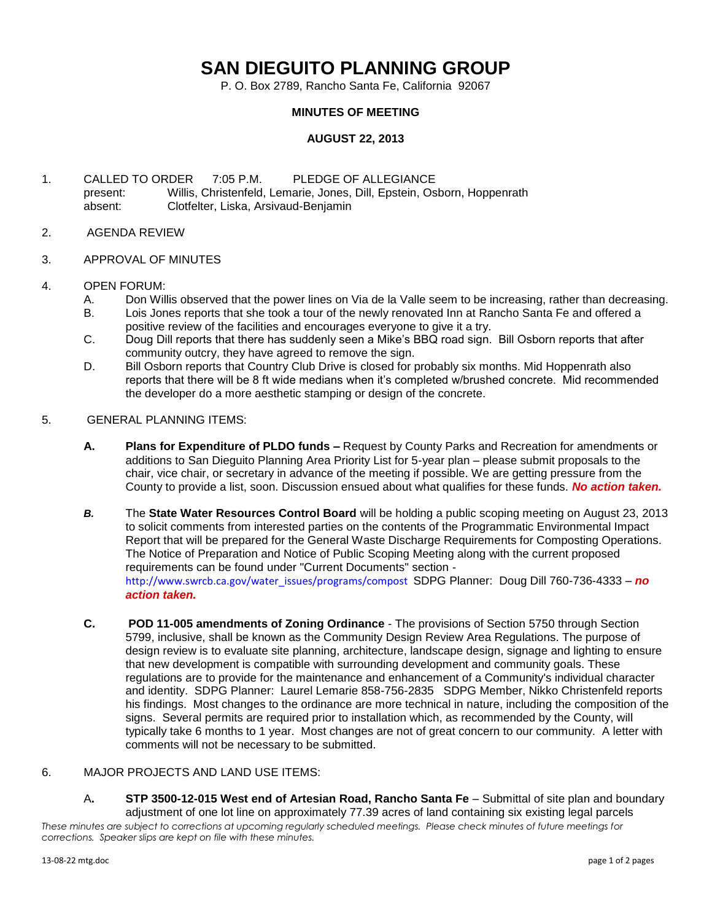## **SAN DIEGUITO PLANNING GROUP**

P. O. Box 2789, Rancho Santa Fe, California 92067

## **MINUTES OF MEETING**

## **AUGUST 22, 2013**

- 1. CALLED TO ORDER 7:05 P.M. PLEDGE OF ALLEGIANCE present: Willis, Christenfeld, Lemarie, Jones, Dill, Epstein, Osborn, Hoppenrath absent: Clotfelter, Liska, Arsivaud-Benjamin
- 2. AGENDA REVIEW
- 3. APPROVAL OF MINUTES
- 4. OPEN FORUM:
	- A. Don Willis observed that the power lines on Via de la Valle seem to be increasing, rather than decreasing.
	- B. Lois Jones reports that she took a tour of the newly renovated Inn at Rancho Santa Fe and offered a positive review of the facilities and encourages everyone to give it a try.
	- C. Doug Dill reports that there has suddenly seen a Mike's BBQ road sign. Bill Osborn reports that after community outcry, they have agreed to remove the sign.
	- D. Bill Osborn reports that Country Club Drive is closed for probably six months. Mid Hoppenrath also reports that there will be 8 ft wide medians when it's completed w/brushed concrete. Mid recommended the developer do a more aesthetic stamping or design of the concrete.
- 5. GENERAL PLANNING ITEMS:
	- **A. Plans for Expenditure of PLDO funds –** Request by County Parks and Recreation for amendments or additions to San Dieguito Planning Area Priority List for 5-year plan – please submit proposals to the chair, vice chair, or secretary in advance of the meeting if possible. We are getting pressure from the County to provide a list, soon. Discussion ensued about what qualifies for these funds. *No action taken.*
	- *B.* The **State Water Resources Control Board** will be holding a public scoping meeting on August 23, 2013 to solicit comments from interested parties on the contents of the Programmatic Environmental Impact Report that will be prepared for the General Waste Discharge Requirements for Composting Operations. The Notice of Preparation and Notice of Public Scoping Meeting along with the current proposed requirements can be found under "Current Documents" section [http://www.swrcb.ca.gov/water\\_issues/programs/compost](http://www.swrcb.ca.gov/water_issues/programs/compost) SDPG Planner: Doug Dill 760-736-4333 – *no action taken.*
	- **C. POD 11-005 amendments of Zoning Ordinance** The provisions of Section 5750 through Section 5799, inclusive, shall be known as the Community Design Review Area Regulations. The purpose of design review is to evaluate site planning, architecture, landscape design, signage and lighting to ensure that new development is compatible with surrounding development and community goals. These regulations are to provide for the maintenance and enhancement of a Community's individual character and identity. SDPG Planner: Laurel Lemarie 858-756-2835 SDPG Member, Nikko Christenfeld reports his findings. Most changes to the ordinance are more technical in nature, including the composition of the signs. Several permits are required prior to installation which, as recommended by the County, will typically take 6 months to 1 year. Most changes are not of great concern to our community. A letter with comments will not be necessary to be submitted.

## 6. MAJOR PROJECTS AND LAND USE ITEMS:

*These minutes are subject to corrections at upcoming regularly scheduled meetings. Please check minutes of future meetings for corrections. Speaker slips are kept on file with these minutes.* A**. STP 3500-12-015 West end of Artesian Road, Rancho Santa Fe** – Submittal of site plan and boundary adjustment of one lot line on approximately 77.39 acres of land containing six existing legal parcels